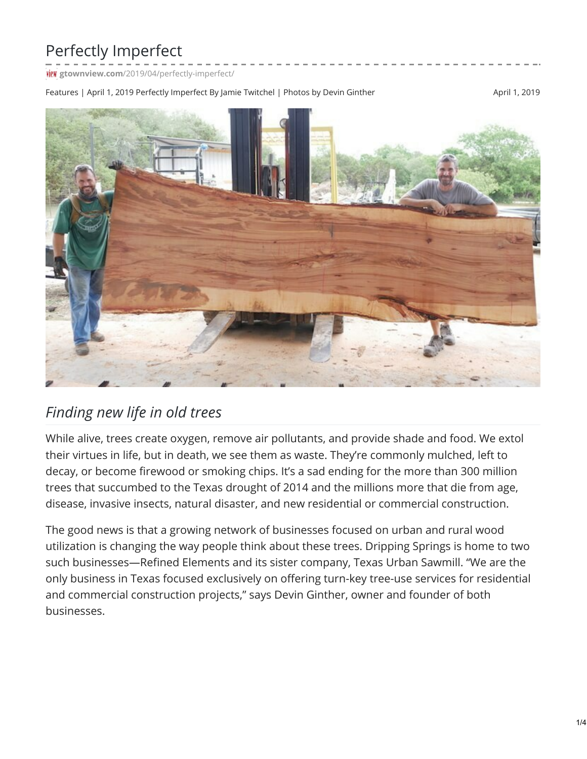## Perfectly Imperfect

**TIEW** gtownview.com[/2019/04/perfectly-imperfect/](http://gtownview.com/2019/04/perfectly-imperfect/)

Features | April 1, 2019 Perfectly Imperfect By Jamie Twitchel | Photos by Devin Ginther April 1, 2019 April 1, 2019



## *Finding new life in old trees*

While alive, trees create oxygen, remove air pollutants, and provide shade and food. We extol their virtues in life, but in death, we see them as waste. They're commonly mulched, left to decay, or become firewood or smoking chips. It's a sad ending for the more than 300 million trees that succumbed to the Texas drought of 2014 and the millions more that die from age, disease, invasive insects, natural disaster, and new residential or commercial construction.

The good news is that a growing network of businesses focused on urban and rural wood utilization is changing the way people think about these trees. Dripping Springs is home to two such businesses—Refined Elements and its sister company, Texas Urban Sawmill. "We are the only business in Texas focused exclusively on offering turn-key tree-use services for residential and commercial construction projects," says Devin Ginther, owner and founder of both businesses.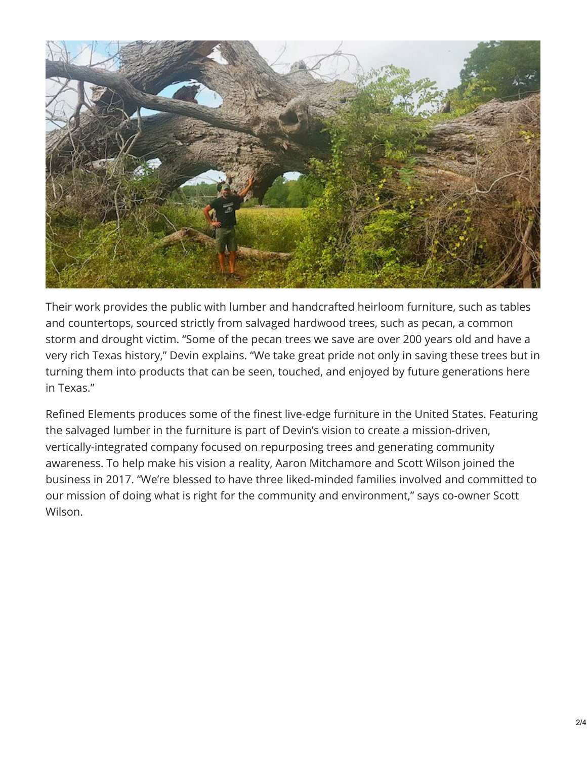

Their work provides the public with lumber and handcrafted heirloom furniture, such as tables and countertops, sourced strictly from salvaged hardwood trees, such as pecan, a common storm and drought victim. "Some of the pecan trees we save are over 200 years old and have a very rich Texas history," Devin explains. "We take great pride not only in saving these trees but in turning them into products that can be seen, touched, and enjoyed by future generations here in Texas."

Refined Elements produces some of the finest live-edge furniture in the United States. Featuring the salvaged lumber in the furniture is part of Devin's vision to create a mission-driven, vertically-integrated company focused on repurposing trees and generating community awareness. To help make his vision a reality, Aaron Mitchamore and Scott Wilson joined the business in 2017. "We're blessed to have three liked-minded families involved and committed to our mission of doing what is right for the community and environment," says co-owner Scott Wilson.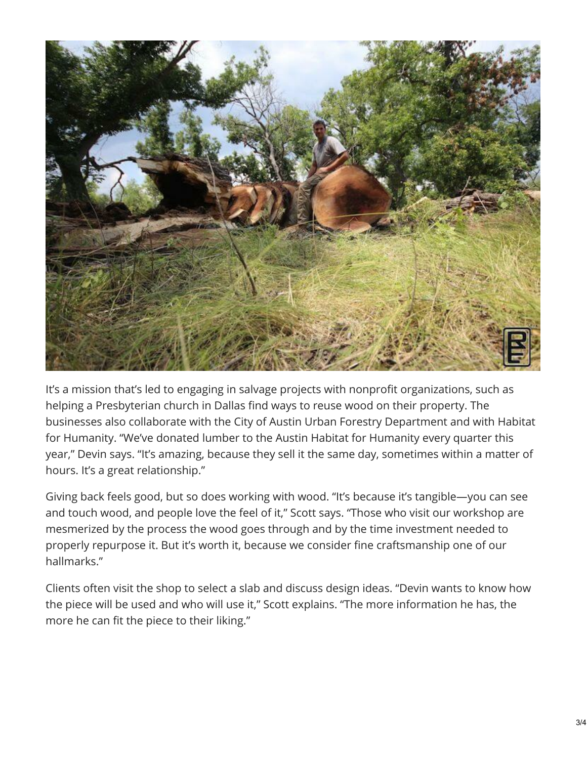

It's a mission that's led to engaging in salvage projects with nonprofit organizations, such as helping a Presbyterian church in Dallas find ways to reuse wood on their property. The businesses also collaborate with the City of Austin Urban Forestry Department and with Habitat for Humanity. "We've donated lumber to the Austin Habitat for Humanity every quarter this year," Devin says. "It's amazing, because they sell it the same day, sometimes within a matter of hours. It's a great relationship."

Giving back feels good, but so does working with wood. "It's because it's tangible—you can see and touch wood, and people love the feel of it," Scott says. "Those who visit our workshop are mesmerized by the process the wood goes through and by the time investment needed to properly repurpose it. But it's worth it, because we consider fine craftsmanship one of our hallmarks."

Clients often visit the shop to select a slab and discuss design ideas. "Devin wants to know how the piece will be used and who will use it," Scott explains. "The more information he has, the more he can fit the piece to their liking."